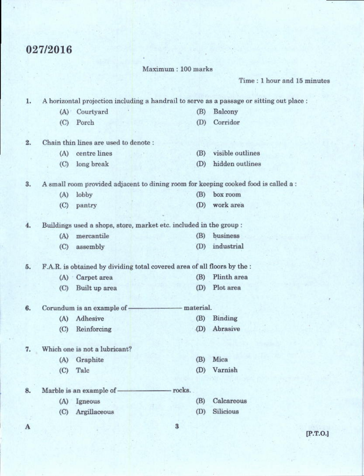## 027/2016

Maximum: 100 marks

Time: 1 hour and 15 minutes

A horizontal projection including a handrail to serve as a passage or sitting out place : 1.

- (A) Courtyard  $(B)$ Balcony
- (C) Porch Corridor  $(D)$
- $2.$ Chain thin lines are used to denote :
	- (A) centre lines (B) visible outlines (C) long break (D) hidden outlines

3. A small room provided adjacent to dining room for keeping cooked food is called a:

> (A) lobby (B) box room (C) pantry (D) work area

Buildings used a shops, store, market etc. included in the group : 4.

| (A) | mercantile   | (B) business   |
|-----|--------------|----------------|
|     | (C) assembly | (D) industrial |

F.A.R. is obtained by dividing total covered area of all floors by the : 5.

> (A) Carpet area  $(B)$ Plinth area (C) Built up area (D) Plot area

6. Corundum is an example of -- material.

> (A) Adhesive (B) Binding (D) Abrasive (C) Reinforcing

7. Which one is not a lubricant?

- (A) Graphite
- $(C)$ Talc

rocks. Marble is an example of -8.

- (A) Igneous
- (C) Argillaceous
- Calcareous (B)  $(D)$ Silicious

(B) Mica (D) Varnish

 $\bf{3}$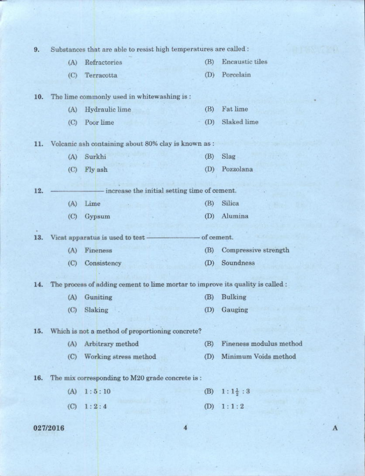| 9.  | Substances that are able to resist high temperatures are called: |                                                                                |     |                                   |
|-----|------------------------------------------------------------------|--------------------------------------------------------------------------------|-----|-----------------------------------|
|     | (A)                                                              | Refractories                                                                   | (B) | <b>Encaustic tiles</b>            |
|     | (C)                                                              | Terracotta                                                                     | (D) | Porcelain                         |
| 10. |                                                                  | The lime commonly used in whitewashing is:                                     |     |                                   |
|     | (A)                                                              | Hydraulic lime                                                                 | (B) | Fat lime                          |
|     | (C)                                                              | Poor lime                                                                      | (D) | Slaked lime                       |
| 11. |                                                                  | Volcanic ash containing about 80% clay is known as :                           |     |                                   |
|     | (A)                                                              | Surkhi                                                                         | (B) | Slag                              |
|     | (C)                                                              | Fly ash                                                                        | (D) | Pozzolana                         |
| 12. |                                                                  | increase the initial setting time of cement.                                   |     |                                   |
|     | (A)                                                              | Lime                                                                           | (B) | Silica                            |
|     | (C)                                                              | Gypsum                                                                         | (D) | Alumina                           |
| 13. |                                                                  | Vicat apparatus is used to test-                                               |     | of cement.                        |
|     |                                                                  |                                                                                |     |                                   |
|     | (A)                                                              | Fineness                                                                       | (B) | Compressive strength<br>Soundness |
|     | (C)                                                              | Consistency                                                                    | (D) |                                   |
| 14. |                                                                  | The process of adding cement to lime mortar to improve its quality is called : |     |                                   |
|     | (A)                                                              | Guniting                                                                       | (B) | <b>Bulking</b>                    |
|     | $\rm (C)$                                                        | Slaking                                                                        | (D) | Gauging                           |
| 15. |                                                                  | Which is not a method of proportioning concrete?                               |     |                                   |
|     | (A)                                                              | Arbitrary method                                                               | (B) | Fineness modulus method           |
|     | (C)                                                              | Working stress method                                                          | (D) | Minimum Voids method              |
| 16. |                                                                  | The mix corresponding to M20 grade concrete is:                                |     |                                   |
|     | (A)                                                              | 1:5:10                                                                         | (B) | $1:1\frac{1}{2}:3$                |
|     | (C)                                                              | 1:2:4                                                                          | (D) | 1:1:2                             |
|     |                                                                  |                                                                                |     |                                   |
|     | 027/2016                                                         |                                                                                |     |                                   |

A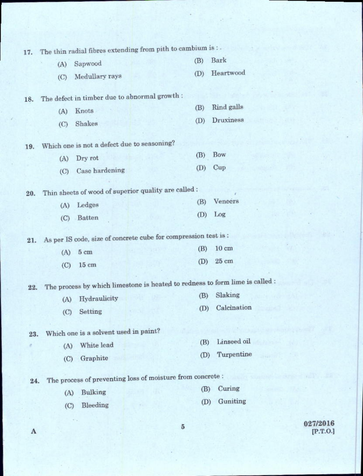| 17. |     | The thin radial fibres extending from pith to cambium is : .    |     |                                                                              |
|-----|-----|-----------------------------------------------------------------|-----|------------------------------------------------------------------------------|
|     | (A) | Sapwood                                                         | (B) | Bark                                                                         |
|     | (C) | Medullary rays                                                  | (D) | Heartwood                                                                    |
|     |     |                                                                 |     |                                                                              |
| 18. |     | The defect in timber due to abnormal growth :                   | (B) | Rind galls                                                                   |
|     | (A) | Knots                                                           |     | Druxiness                                                                    |
|     | (C) | Shakes                                                          | (D) |                                                                              |
| 19. |     | Which one is not a defect due to seasoning?                     |     |                                                                              |
|     | (A) | Dry rot                                                         | (B) | Bow                                                                          |
|     | (C) | Case hardening                                                  | (D) | Cup                                                                          |
|     |     |                                                                 |     |                                                                              |
| 20. |     | Thin sheets of wood of superior quality are called:             |     |                                                                              |
|     | (A) | Ledges                                                          | (B) | Veneers                                                                      |
|     | (C) | <b>Batten</b>                                                   | (D) | Log                                                                          |
|     |     | As per IS code, size of concrete cube for compression test is : |     |                                                                              |
| 21. |     |                                                                 | (B) | $10 \text{ cm}$                                                              |
|     | (A) | 5 <sub>cm</sub>                                                 | (D) | 25 cm                                                                        |
|     | (C) | 15 <sub>cm</sub>                                                |     |                                                                              |
| 22. |     |                                                                 |     | The process by which limestone is heated to redness to form lime is called : |
|     | (A) | Hydraulicity                                                    | (B) | Slaking                                                                      |
|     | (C) | Setting                                                         | (D) | Calcination                                                                  |
|     |     |                                                                 |     |                                                                              |
| 23. |     | Which one is a solvent used in paint?                           |     |                                                                              |
|     | (A) | White lead                                                      | (B) | Linseed oil                                                                  |
|     | (C) | Graphite                                                        | (D) | Turpentine                                                                   |
|     |     | The process of preventing loss of moisture from concrete:       |     |                                                                              |
| 24. |     |                                                                 | (B) | Curing                                                                       |
|     | (A) | Bulking                                                         | (D) | Guniting                                                                     |
|     | (C) | Bleeding                                                        |     |                                                                              |
|     |     |                                                                 |     |                                                                              |

地震され

8

 $\begin{array}{c} 027/2016 \\ \text{[P.T.O.]} \end{array}$ 

e y DP

 $\overline{5}$ 

 $\mathbf A$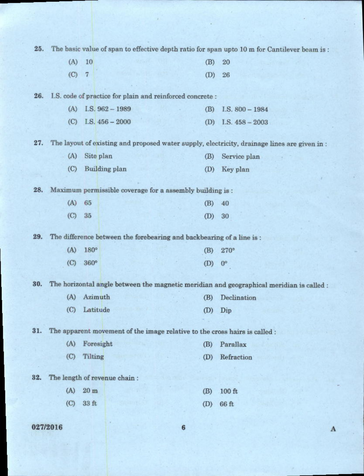| 25. |          |                |                                                                            |                 | The basic value of span to effective depth ratio for span upto 10 m for Cantilever beam is : |
|-----|----------|----------------|----------------------------------------------------------------------------|-----------------|----------------------------------------------------------------------------------------------|
|     | (A)      | 10             |                                                                            | (B)             | 20                                                                                           |
|     | (C)      | $\overline{7}$ |                                                                            | (D)             | 26                                                                                           |
|     |          |                |                                                                            |                 |                                                                                              |
| 26. |          |                | I.S. code of practice for plain and reinforced concrete :                  |                 |                                                                                              |
|     | (A)      |                | I.S. $962 - 1989$                                                          | (B)             | $I.S. 800 - 1984$                                                                            |
|     | (C)      |                | I.S. $456 - 2000$                                                          | (D)             | I.S. $458 - 2003$                                                                            |
| 27. |          |                |                                                                            |                 | The layout of existing and proposed water supply, electricity, drainage lines are given in:  |
|     | (A)      |                | Site plan                                                                  | (B)             | Service plan                                                                                 |
|     | (C)      |                | <b>Building plan</b>                                                       | (D)             | Key plan                                                                                     |
|     |          |                |                                                                            |                 |                                                                                              |
| 28. |          |                | Maximum permissible coverage for a assembly building is :                  |                 |                                                                                              |
|     | (A)      | 65             |                                                                            | (B)             | 40                                                                                           |
|     | (C)      | 35             |                                                                            | (D)             | 30                                                                                           |
| 29. |          |                | The difference between the forebearing and backbearing of a line is :      |                 |                                                                                              |
|     | (A)      | 180°           |                                                                            | (B)             | 270°                                                                                         |
|     | (C)      | 360°           |                                                                            | (D)             | $0^{\circ}$                                                                                  |
|     |          |                |                                                                            |                 |                                                                                              |
| 30. |          |                |                                                                            |                 | The horizontal angle between the magnetic meridian and geographical meridian is called :     |
|     | (A)      |                | Azimuth                                                                    | (B)             | Declination                                                                                  |
|     |          | (C) Latitude   |                                                                            |                 | $(D)$ $Dip$                                                                                  |
| 31. |          |                | The apparent movement of the image relative to the cross hairs is called : |                 |                                                                                              |
|     | (A)      |                | Foresight                                                                  | (B)             | Parallax                                                                                     |
|     | (C)      | Tilting        |                                                                            | (D)             | Refraction                                                                                   |
|     |          |                |                                                                            |                 |                                                                                              |
| 32. |          |                | The length of revenue chain:                                               |                 |                                                                                              |
|     | (A)      | $20 \text{ m}$ |                                                                            | (B)             | 100 ft                                                                                       |
|     | (C)      | 33 ft          |                                                                            | (D)             | 66 ft                                                                                        |
|     |          |                |                                                                            |                 |                                                                                              |
|     | 027/2016 |                |                                                                            | $6\phantom{1}6$ |                                                                                              |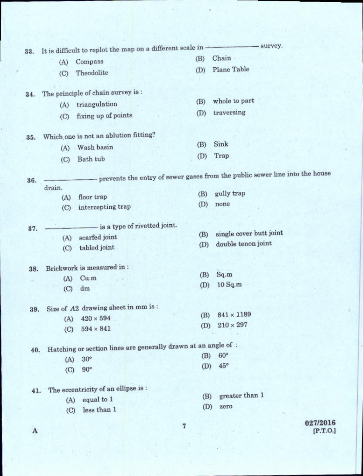|     |        | It is difficult to replot the map on a different scale in -    |                              |     | - survey.                                                                     |          |
|-----|--------|----------------------------------------------------------------|------------------------------|-----|-------------------------------------------------------------------------------|----------|
| 33. |        | Compass                                                        |                              | (B) | Chain.                                                                        |          |
|     | (A)    | Theodolite                                                     |                              | (D) | <b>Plane Table</b>                                                            |          |
|     | (C)    |                                                                |                              |     |                                                                               |          |
| 34. |        | The principle of chain survey is :                             |                              |     |                                                                               |          |
|     | (A)    | triangulation                                                  |                              | (B) | whole to part                                                                 |          |
|     | (C)    | fixing up of points                                            |                              | (D) | traversing                                                                    |          |
| 35. |        | Which one is not an ablution fitting?                          |                              |     |                                                                               |          |
|     |        | (A) Wash basin                                                 |                              | (B) | Sink                                                                          |          |
|     | (C)    | Bath tub                                                       |                              | (D) | Trap                                                                          |          |
| 36. |        |                                                                |                              |     | - prevents the entry of sewer gases from the public sewer line into the house |          |
|     | drain. |                                                                |                              | (B) | gully trap                                                                    |          |
|     | (A)    | floor trap                                                     |                              | (D) | none                                                                          |          |
|     | (C)    | intercepting trap                                              |                              |     |                                                                               |          |
| 37. |        |                                                                | is a type of rivetted joint. |     |                                                                               |          |
|     | (A)    | scarfed joint                                                  |                              | (B) | single cover butt joint                                                       |          |
|     | (C)    | tabled joint                                                   |                              | (D) | double tenon joint                                                            |          |
| 38. |        | Brickwork is measured in :                                     |                              |     |                                                                               |          |
|     | (A)    | Cu.m                                                           |                              | (B) | Sq.m                                                                          |          |
|     | (C)    | dm                                                             |                              | (D) | 10Sq.m                                                                        |          |
|     |        | 39. Size of A2 drawing sheet in mm is:                         |                              |     |                                                                               |          |
|     | (A)    | $420\times594$                                                 |                              | (B) | $841 \times 1189$                                                             |          |
|     | (C)    | $594 \times 841$                                               |                              | (D) | $210\times297$                                                                |          |
| 40. |        | Hatching or section lines are generally drawn at an angle of : |                              |     |                                                                               |          |
|     | (A)    | $30^\circ$                                                     |                              | (B) | $60^\circ$                                                                    |          |
|     | (C)    | $90^\circ$                                                     |                              | (D) | $45^{\circ}$                                                                  |          |
| 41. |        | The eccentricity of an ellipse is:                             |                              |     |                                                                               |          |
|     | (A)    | equal to 1                                                     |                              | (B) | greater than 1                                                                |          |
|     | (C)    | less than 1                                                    |                              | (D) | zero                                                                          |          |
|     |        |                                                                |                              |     |                                                                               | 007/0016 |

 $\mathbf A$ 

 $\begin{array}{c} 027\!2016 \\ \text{[P.T.0.]} \end{array}$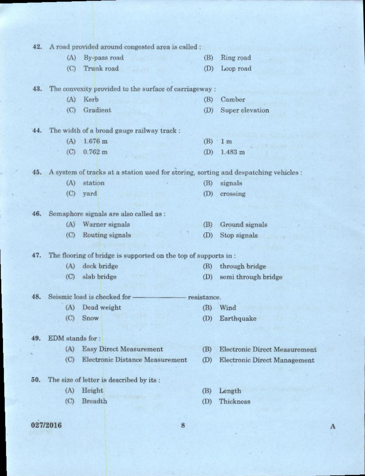| 42. |                  | A road provided around congested area is called :                                    |             |                                      |
|-----|------------------|--------------------------------------------------------------------------------------|-------------|--------------------------------------|
|     | (A)              | By-pass road                                                                         | (B)         | Ring road                            |
|     | (C)              | Trunk road                                                                           | (D)         | Loop road                            |
|     |                  |                                                                                      |             |                                      |
| 43. |                  | The convexity provided to the surface of carriageway :                               |             |                                      |
|     | (A)              | Kerb                                                                                 | (B)         | Camber                               |
|     | (C)              | Gradient                                                                             | (D)         | Super elevation                      |
|     |                  |                                                                                      |             |                                      |
| 44. |                  | The width of a broad gauge railway track :                                           |             |                                      |
|     | (A)              | $1.676$ m                                                                            | (B)         | 1 <sub>m</sub>                       |
|     | (C)              | $0.762 \; m$                                                                         | (D)         | 1.483 m                              |
| 45. |                  | A system of tracks at a station used for storing, sorting and despatching vehicles : |             |                                      |
|     | (A)              | station                                                                              | (B)         | signals                              |
|     | (C)              | yard                                                                                 | (D)         | crossing                             |
|     |                  |                                                                                      |             |                                      |
| 46. |                  | Semaphore signals are also called as :                                               |             |                                      |
|     | (A)              | Warner signals                                                                       | (B)         | Ground signals                       |
|     | (C)              | Routing signals                                                                      | (D)         | Stop signals                         |
|     |                  |                                                                                      |             |                                      |
| 47. |                  | The flooring of bridge is supported on the top of supports in:                       |             |                                      |
|     | (A)              | deck bridge                                                                          | (B)         | through bridge                       |
|     | (C)              | slab bridge                                                                          | (D)         | semi through bridge                  |
| 48. |                  | Seismic load is checked for                                                          | resistance. |                                      |
|     | (A)              | Dead weight                                                                          | (B)         | Wind                                 |
|     | (C)              | Snow                                                                                 | (D)         | Earthquake                           |
|     |                  |                                                                                      |             |                                      |
| 49. | EDM stands for : |                                                                                      |             |                                      |
|     | (A)              | <b>Easy Direct Measurement</b>                                                       | (B)         | <b>Electronic Direct Measurement</b> |
|     | (C)              | <b>Electronic Distance Measurement</b>                                               | (D)         | <b>Electronic Direct Management</b>  |
|     |                  |                                                                                      |             |                                      |
| 50. |                  | The size of letter is described by its :                                             |             |                                      |
|     | (A)              | Height                                                                               | (B)         | Length <sup>®</sup>                  |
|     | (C)              | <b>Breadth</b>                                                                       | (D)         | Thickness                            |
|     |                  |                                                                                      |             |                                      |

## 027/2016

8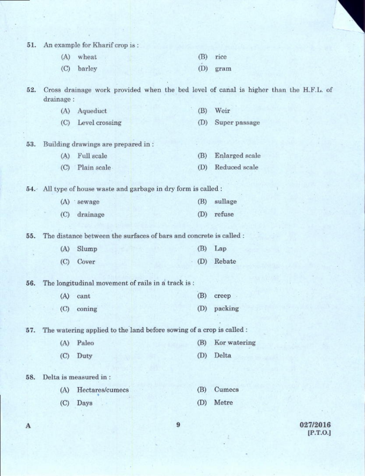51. An example for Kharif crop is:

| (A) wheat  | (B) rice   |
|------------|------------|
| (C) barley | $(D)$ gram |

Cross drainage work provided when the bed level of canal is higher than the H.F.L. of 52. drainage:

| (A) Aqueduct       | $(B)$ Weir        |
|--------------------|-------------------|
| (C) Level crossing | (D) Super passage |

- (C) Level crossing
- 53. Building drawings are prepared in:

| (A) Full scale  | (B) Enlarged scale |
|-----------------|--------------------|
| (C) Plain scale | (D) Reduced scale  |

54. All type of house waste and garbage in dry form is called :

| (A) sewage   | (B) sullage |  |
|--------------|-------------|--|
| (C) drainage | (D) refuse  |  |

The distance between the surfaces of bars and concrete is called : 55.

| (A) Slump | $(B)$ Lap  |
|-----------|------------|
| (C) Cover | (D) Rebate |

56. The longitudinal movement of rails in a track is:

> (A) cant (B) creep -(D) packing  $(C)$  coning

The watering applied to the land before sowing of a crop is called : 57.

> (A) Paleo Kor watering (B) Duty  $(D)$ Delta  $(C)$

Delta is measured in: 58.

> $(A)$ Hectares/cumecs (B) Cumecs  $(D)$ Metre  $(C)$ Days

> > 9

027/2016 [P.T.O.]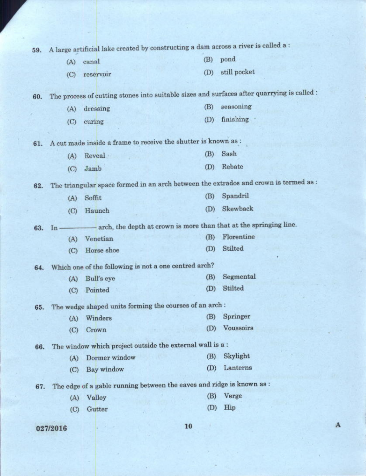| 59. |          | A large artificial lake created by constructing a dam across a river is called a : |     |                                                                                            |
|-----|----------|------------------------------------------------------------------------------------|-----|--------------------------------------------------------------------------------------------|
|     | (A)      | canal                                                                              | (B) | pond                                                                                       |
|     | (C)      | reservoir                                                                          | (D) | still pocket                                                                               |
|     |          |                                                                                    |     |                                                                                            |
| 60. |          |                                                                                    |     | The process of cutting stones into suitable sizes and surfaces after quarrying is called : |
|     | (A)      | dressing                                                                           | (B) | seasoning                                                                                  |
|     | (C)      | curing                                                                             | (D) | finishing                                                                                  |
|     |          |                                                                                    |     |                                                                                            |
| 61. |          | A cut made inside a frame to receive the shutter is known as :                     |     |                                                                                            |
|     | (A)      | Reveal                                                                             | (B) | Sash                                                                                       |
|     | (C)      | Jamb                                                                               | (D) | Rebate                                                                                     |
| 62. |          |                                                                                    |     | The triangular space formed in an arch between the extrados and crown is termed as :       |
|     | (A)      | Soffit                                                                             | (B) | Spandril                                                                                   |
|     | (C)      | Haunch                                                                             | (D) | Skewback                                                                                   |
| 63. | $In -$   | -arch, the depth at crown is more than that at the springing line.                 |     |                                                                                            |
|     | (A)      | Venetian                                                                           | (B) | Florentine                                                                                 |
|     | (C)      | Horse shoe                                                                         | (D) | Stilted                                                                                    |
|     |          |                                                                                    |     |                                                                                            |
| 64. |          | Which one of the following is not a one centred arch?                              | (B) | Segmental                                                                                  |
|     | (A)      | Bull's eye                                                                         | (D) | Stilted                                                                                    |
|     | (C)      | Pointed                                                                            |     |                                                                                            |
| 65. |          | The wedge shaped units forming the courses of an arch:                             |     |                                                                                            |
|     | (A)      | Winders                                                                            | (B) | Springer                                                                                   |
|     | (C)      | Crown                                                                              | (D) | Voussoirs                                                                                  |
| 66. |          | The window which project outside the external wall is a:                           |     |                                                                                            |
|     | (A)      | Dormer window                                                                      | (B) | Skylight                                                                                   |
|     | (C)      | <b>Bay window</b>                                                                  | (D) | Lanterns                                                                                   |
| 67. |          | The edge of a gable running between the eaves and ridge is known as :              |     |                                                                                            |
|     | (A)      | Valley                                                                             | (B) | Verge                                                                                      |
|     | (C)      | Gutter                                                                             | (D) | Hip                                                                                        |
|     |          |                                                                                    |     |                                                                                            |
|     | 027/2016 |                                                                                    | 10  |                                                                                            |